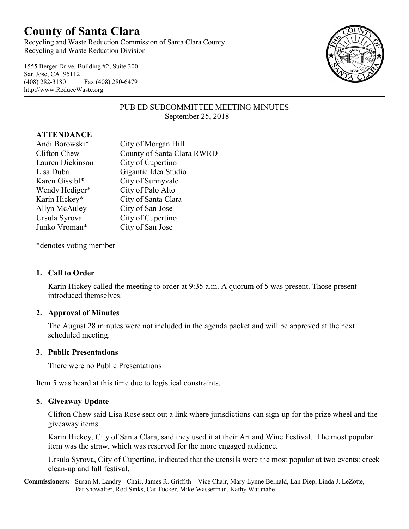# **County of Santa Clara**

Recycling and Waste Reduction Commission of Santa Clara County Recycling and Waste Reduction Division

1555 Berger Drive, Building #2, Suite 300 San Jose, CA 95112 (408) 282-3180 Fax (408) 280-6479 http://www.ReduceWaste.org



## PUB ED SUBCOMMITTEE MEETING MINUTES September 25, 2018

#### **ATTENDANCE**

| Andi Borowski*   | City of Morgan Hill        |
|------------------|----------------------------|
| Clifton Chew     | County of Santa Clara RWRD |
| Lauren Dickinson | City of Cupertino          |
| Lisa Duba        | Gigantic Idea Studio       |
| Karen Gissibl*   | City of Sunnyvale          |
| Wendy Hediger*   | City of Palo Alto          |
| Karin Hickey*    | City of Santa Clara        |
| Allyn McAuley    | City of San Jose           |
| Ursula Syrova    | City of Cupertino          |
| Junko Vroman*    | City of San Jose           |

\*denotes voting member

## **1. Call to Order**

Karin Hickey called the meeting to order at 9:35 a.m. A quorum of 5 was present. Those present introduced themselves.

## **2. Approval of Minutes**

The August 28 minutes were not included in the agenda packet and will be approved at the next scheduled meeting.

#### **3. Public Presentations**

There were no Public Presentations

Item 5 was heard at this time due to logistical constraints.

## **5. Giveaway Update**

Clifton Chew said Lisa Rose sent out a link where jurisdictions can sign-up for the prize wheel and the giveaway items.

Karin Hickey, City of Santa Clara, said they used it at their Art and Wine Festival. The most popular item was the straw, which was reserved for the more engaged audience.

Ursula Syrova, City of Cupertino, indicated that the utensils were the most popular at two events: creek clean-up and fall festival.

**Commissioners:** Susan M. Landry - Chair, James R. Griffith – Vice Chair, Mary-Lynne Bernald, Lan Diep, Linda J. LeZotte, Pat Showalter, Rod Sinks, Cat Tucker, Mike Wasserman, Kathy Watanabe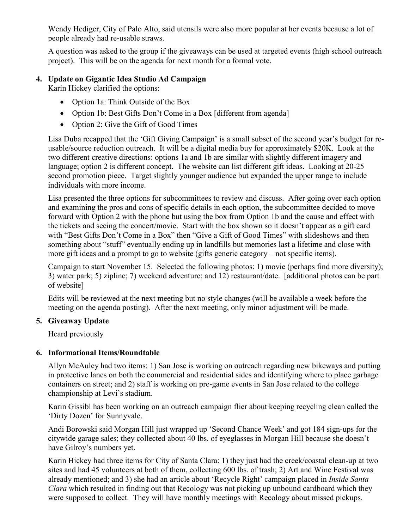Wendy Hediger, City of Palo Alto, said utensils were also more popular at her events because a lot of people already had re-usable straws.

A question was asked to the group if the giveaways can be used at targeted events (high school outreach project). This will be on the agenda for next month for a formal vote.

## **4. Update on Gigantic Idea Studio Ad Campaign**

Karin Hickey clarified the options:

- Option 1a: Think Outside of the Box
- Option 1b: Best Gifts Don't Come in a Box [different from agenda]
- Option 2: Give the Gift of Good Times

Lisa Duba recapped that the 'Gift Giving Campaign' is a small subset of the second year's budget for reusable/source reduction outreach. It will be a digital media buy for approximately \$20K. Look at the two different creative directions: options 1a and 1b are similar with slightly different imagery and language; option 2 is different concept. The website can list different gift ideas. Looking at 20-25 second promotion piece. Target slightly younger audience but expanded the upper range to include individuals with more income.

Lisa presented the three options for subcommittees to review and discuss. After going over each option and examining the pros and cons of specific details in each option, the subcommittee decided to move forward with Option 2 with the phone but using the box from Option 1b and the cause and effect with the tickets and seeing the concert/movie. Start with the box shown so it doesn't appear as a gift card with "Best Gifts Don't Come in a Box" then "Give a Gift of Good Times" with slideshows and then something about "stuff" eventually ending up in landfills but memories last a lifetime and close with more gift ideas and a prompt to go to website (gifts generic category – not specific items).

Campaign to start November 15. Selected the following photos: 1) movie (perhaps find more diversity); 3) water park; 5) zipline; 7) weekend adventure; and 12) restaurant/date. [additional photos can be part of website]

Edits will be reviewed at the next meeting but no style changes (will be available a week before the meeting on the agenda posting). After the next meeting, only minor adjustment will be made.

## **5. Giveaway Update**

Heard previously

## **6. Informational Items/Roundtable**

Allyn McAuley had two items: 1) San Jose is working on outreach regarding new bikeways and putting in protective lanes on both the commercial and residential sides and identifying where to place garbage containers on street; and 2) staff is working on pre-game events in San Jose related to the college championship at Levi's stadium.

Karin Gissibl has been working on an outreach campaign flier about keeping recycling clean called the 'Dirty Dozen' for Sunnyvale.

Andi Borowski said Morgan Hill just wrapped up 'Second Chance Week' and got 184 sign-ups for the citywide garage sales; they collected about 40 lbs. of eyeglasses in Morgan Hill because she doesn't have Gilroy's numbers yet.

Karin Hickey had three items for City of Santa Clara: 1) they just had the creek/coastal clean-up at two sites and had 45 volunteers at both of them, collecting 600 lbs. of trash; 2) Art and Wine Festival was already mentioned; and 3) she had an article about 'Recycle Right' campaign placed in *Inside Santa Clara* which resulted in finding out that Recology was not picking up unbound cardboard which they were supposed to collect. They will have monthly meetings with Recology about missed pickups.